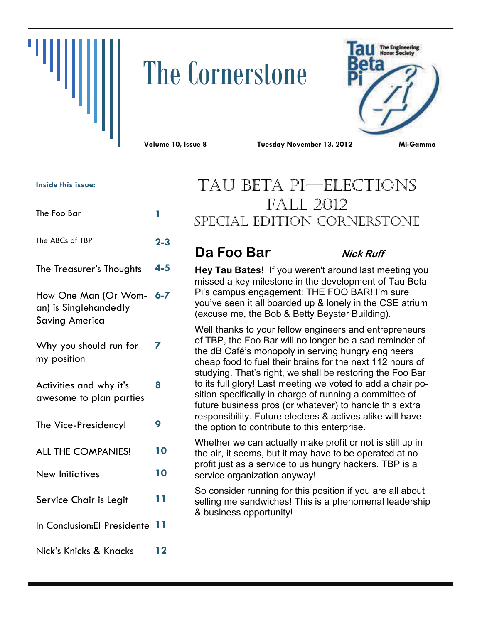# The Cornerstone



**8** 

**Volume 10, Issue 8 Tuesday November 13, 2012 MI-Gamma** 

#### **Inside this issue:**

| The Foo Bar                                                            |         |
|------------------------------------------------------------------------|---------|
| The ABCs of TBP                                                        | $2 - 3$ |
| The Treasurer's Thoughts                                               | $4 - 5$ |
| How One Man (Or Wom-<br>an) is Singlehandedly<br><b>Saving America</b> | 6-7     |
| Why you should run for<br>my position                                  |         |

Activities and why it's awesome to plan parties

- The Vice-Presidency! **9**
- ALL THE COMPANIES! **10**
- New Initiatives **10**
- Service Chair is Legit **11**
- In Conclusion:El Presidente **11**

Nick's Knicks & Knacks **12** 

## TAU BETA PI—ELECTIONS FALL 2012 SPECIAL EDITION CORNERSTONE

## **Da Foo Bar** *Nick Ruff*

**Hey Tau Bates!** If you weren't around last meeting you missed a key milestone in the development of Tau Beta Pi's campus engagement: THE FOO BAR! I'm sure you've seen it all boarded up & lonely in the CSE atrium (excuse me, the Bob & Betty Beyster Building).

Well thanks to your fellow engineers and entrepreneurs of TBP, the Foo Bar will no longer be a sad reminder of the dB Café's monopoly in serving hungry engineers cheap food to fuel their brains for the next 112 hours of studying. That's right, we shall be restoring the Foo Bar to its full glory! Last meeting we voted to add a chair position specifically in charge of running a committee of future business pros (or whatever) to handle this extra responsibility. Future electees & actives alike will have the option to contribute to this enterprise.

Whether we can actually make profit or not is still up in the air, it seems, but it may have to be operated at no profit just as a service to us hungry hackers. TBP is a service organization anyway!

So consider running for this position if you are all about selling me sandwiches! This is a phenomenal leadership & business opportunity!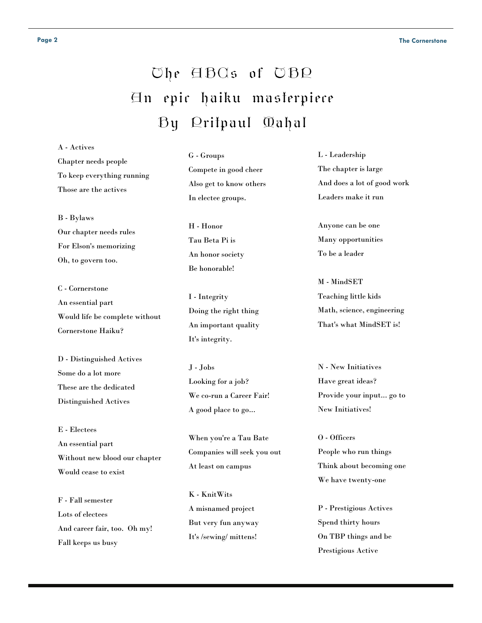## The ABCs of TBP An epic haiku masterpiece By Pritpaul Mahal

A - Actives Chapter needs people To keep everything running Those are the actives

B - Bylaws Our chapter needs rules For Elson's memorizing Oh, to govern too.

C - Cornerstone An essential part Would life be complete without Cornerstone Haiku?

D - Distinguished Actives Some do a lot more These are the dedicated Distinguished Actives

E - Electees An essential part Without new blood our chapter Would cease to exist

F - Fall semester Lots of electees And career fair, too. Oh my! Fall keeps us busy

G - Groups Compete in good cheer Also get to know others In electee groups.

H - Honor Tau Beta Pi is An honor society Be honorable!

I - Integrity Doing the right thing An important quality It's integrity.

J - Jobs Looking for a job? We co-run a Career Fair! A good place to go...

When you're a Tau Bate Companies will seek you out At least on campus

K - KnitWits A misnamed project But very fun anyway It's /sewing/ mittens!

L - Leadership The chapter is large And does a lot of good work Leaders make it run

Anyone can be one Many opportunities To be a leader

M - MindSET Teaching little kids Math, science, engineering That's what MindSET is!

N - New Initiatives Have great ideas? Provide your input... go to New Initiatives!

O - Officers People who run things Think about becoming one We have twenty-one

P - Prestigious Actives Spend thirty hours On TBP things and be Prestigious Active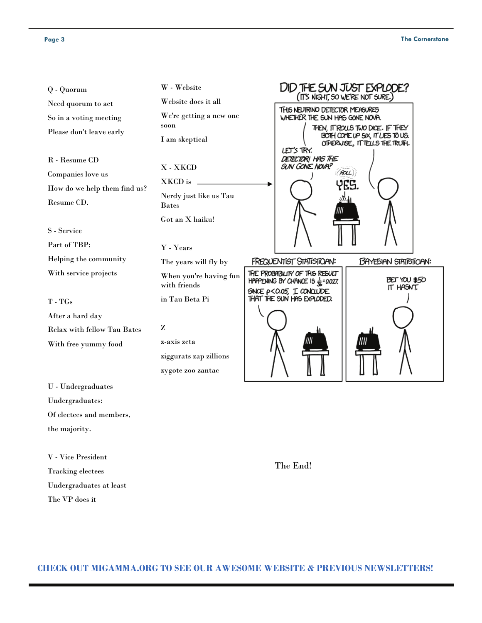#### Page 3 The Cornerstone

the majority.

V - Vice President Tracking electees

The VP does it

Undergraduates at least

| Q - Quorum                         | W - Website                            | DID THE SUN JUST EXPLODE?                                                                                           |
|------------------------------------|----------------------------------------|---------------------------------------------------------------------------------------------------------------------|
| Need quorum to act                 | Website does it all                    | (IT'S NIGHT, SO WE'RE NOT SURE.)                                                                                    |
| So in a voting meeting             | We're getting a new one                | THIS NEUTRINO DETECTOR MEASURES<br>WHETHER THE SUN HAS GONE NOVA.                                                   |
| Please don't leave early           | soon<br>I am skeptical                 | THEN, IT ROUS TWO DICE. IF THEY<br>BOTH COME UP SIX, IT LIES TO US.<br>OTHERWISE, IT TELLS THE TRUTH.<br>LET'S TRY. |
| R - Resume CD                      | X-XKCD                                 | DETECTOR! HAS THE<br>SUN GONE NOVA?                                                                                 |
| Companies love us                  | XKCD is                                | (RAL)                                                                                                               |
| How do we help them find us?       | Nerdy just like us Tau                 | YES.                                                                                                                |
| Resume CD.                         | <b>Bates</b>                           |                                                                                                                     |
|                                    | Got an X haiku!                        |                                                                                                                     |
| S - Service                        |                                        |                                                                                                                     |
| Part of TBP:                       | Y - Years                              |                                                                                                                     |
| Helping the community              | The years will fly by                  | <b>FREQUENTIST STATISTICIAN:</b><br><b>BAYESIAN STATISTICIAN:</b>                                                   |
|                                    |                                        |                                                                                                                     |
| With service projects              | When you're having fun<br>with friends | THE PROBABILITY OF THIS RESULT<br>BET YOU \$50<br>HAPPENING BY CHANCE IS $\frac{1}{32}$ =0.027.<br>IT HASNT.        |
| $T - T Gs$                         | in Tau Beta Pi                         | SINCE P<0.05, I CONCLUDE<br>THAT THE SUN HAS EXPLODED.                                                              |
| After a hard day                   |                                        |                                                                                                                     |
| <b>Relax with fellow Tau Bates</b> | Z                                      |                                                                                                                     |
| With free yummy food               | z-axis zeta                            |                                                                                                                     |
|                                    | ziggurats zap zillions                 |                                                                                                                     |
|                                    | zygote zoo zantac                      |                                                                                                                     |
| U - Undergraduates                 |                                        |                                                                                                                     |
| Undergraduates:                    |                                        |                                                                                                                     |

The End!

**CHECK OUT MIGAMMA.ORG TO SEE OUR AWESOME WEBSITE & PREVIOUS NEWSLETTERS!**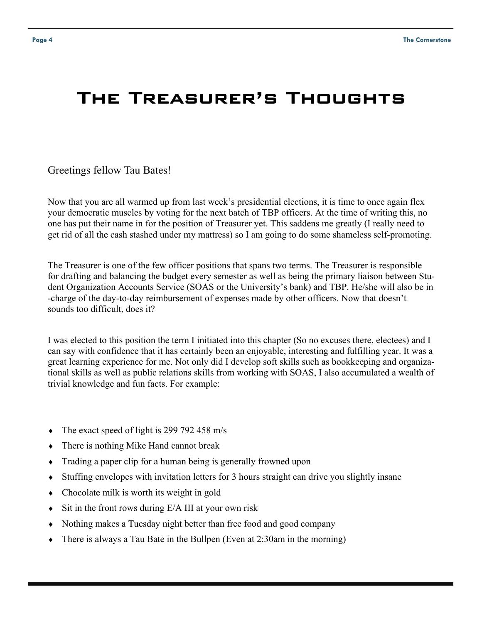## The Treasurer's Thoughts

#### Greetings fellow Tau Bates!

Now that you are all warmed up from last week's presidential elections, it is time to once again flex your democratic muscles by voting for the next batch of TBP officers. At the time of writing this, no one has put their name in for the position of Treasurer yet. This saddens me greatly (I really need to get rid of all the cash stashed under my mattress) so I am going to do some shameless self-promoting.

The Treasurer is one of the few officer positions that spans two terms. The Treasurer is responsible for drafting and balancing the budget every semester as well as being the primary liaison between Student Organization Accounts Service (SOAS or the University's bank) and TBP. He/she will also be in -charge of the day-to-day reimbursement of expenses made by other officers. Now that doesn't sounds too difficult, does it?

I was elected to this position the term I initiated into this chapter (So no excuses there, electees) and I can say with confidence that it has certainly been an enjoyable, interesting and fulfilling year. It was a great learning experience for me. Not only did I develop soft skills such as bookkeeping and organizational skills as well as public relations skills from working with SOAS, I also accumulated a wealth of trivial knowledge and fun facts. For example:

- $\bullet$  The exact speed of light is 299 792 458 m/s
- There is nothing Mike Hand cannot break
- Trading a paper clip for a human being is generally frowned upon
- Stuffing envelopes with invitation letters for 3 hours straight can drive you slightly insane
- Chocolate milk is worth its weight in gold
- $\bullet$  Sit in the front rows during E/A III at your own risk
- Nothing makes a Tuesday night better than free food and good company
- There is always a Tau Bate in the Bullpen (Even at 2:30am in the morning)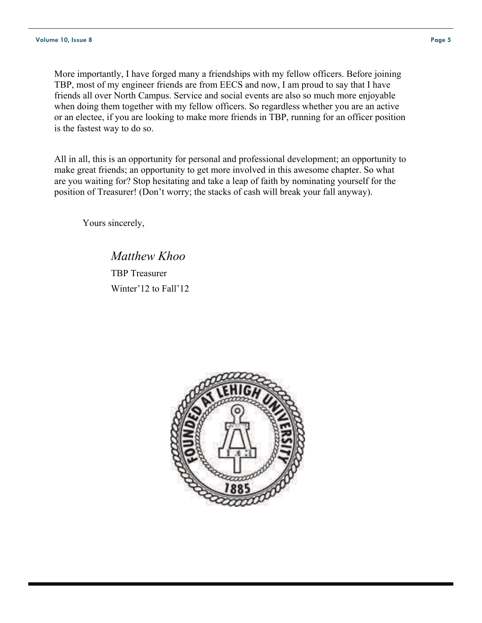More importantly, I have forged many a friendships with my fellow officers. Before joining TBP, most of my engineer friends are from EECS and now, I am proud to say that I have friends all over North Campus. Service and social events are also so much more enjoyable when doing them together with my fellow officers. So regardless whether you are an active or an electee, if you are looking to make more friends in TBP, running for an officer position is the fastest way to do so.

All in all, this is an opportunity for personal and professional development; an opportunity to make great friends; an opportunity to get more involved in this awesome chapter. So what are you waiting for? Stop hesitating and take a leap of faith by nominating yourself for the position of Treasurer! (Don't worry; the stacks of cash will break your fall anyway).

Yours sincerely,

 *Matthew Khoo* TBP Treasurer Winter'12 to Fall'12

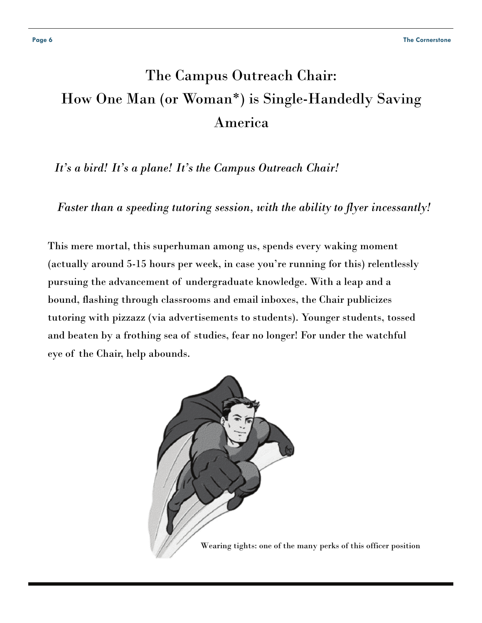## The Campus Outreach Chair: How One Man (or Woman\*) is Single-Handedly Saving America

 *It's a bird! It's a plane! It's the Campus Outreach Chair!* 

 *Faster than a speeding tutoring session, with the ability to flyer incessantly!*

This mere mortal, this superhuman among us, spends every waking moment (actually around 5-15 hours per week, in case you're running for this) relentlessly pursuing the advancement of undergraduate knowledge. With a leap and a bound, flashing through classrooms and email inboxes, the Chair publicizes tutoring with pizzazz (via advertisements to students). Younger students, tossed and beaten by a frothing sea of studies, fear no longer! For under the watchful eye of the Chair, help abounds.

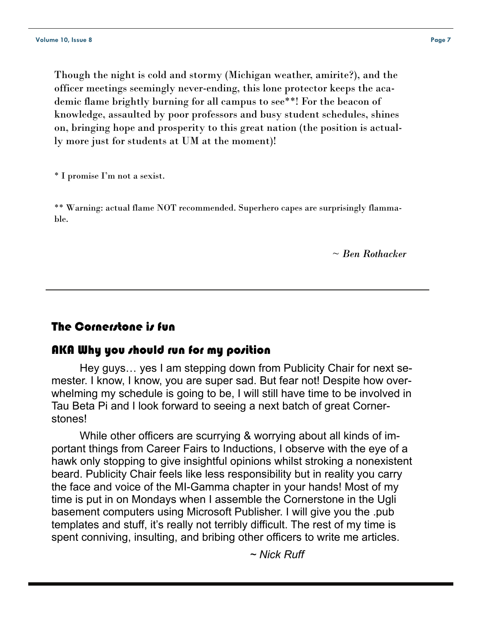Though the night is cold and stormy (Michigan weather, amirite?), and the officer meetings seemingly never-ending, this lone protector keeps the academic flame brightly burning for all campus to see\*\*! For the beacon of knowledge, assaulted by poor professors and busy student schedules, shines on, bringing hope and prosperity to this great nation (the position is actually more just for students at UM at the moment)!

\* I promise I'm not a sexist.

\*\* Warning: actual flame NOT recommended. Superhero capes are surprisingly flammable.

*~ Ben Rothacker* 

### The Cornerstone is fun

#### AKA Why you should run for my position

 Hey guys… yes I am stepping down from Publicity Chair for next semester. I know, I know, you are super sad. But fear not! Despite how overwhelming my schedule is going to be, I will still have time to be involved in Tau Beta Pi and I look forward to seeing a next batch of great Cornerstones!

 While other officers are scurrying & worrying about all kinds of important things from Career Fairs to Inductions, I observe with the eye of a hawk only stopping to give insightful opinions whilst stroking a nonexistent beard. Publicity Chair feels like less responsibility but in reality you carry the face and voice of the MI-Gamma chapter in your hands! Most of my time is put in on Mondays when I assemble the Cornerstone in the Ugli basement computers using Microsoft Publisher. I will give you the .pub templates and stuff, it's really not terribly difficult. The rest of my time is spent conniving, insulting, and bribing other officers to write me articles.

*~ Nick Ruff*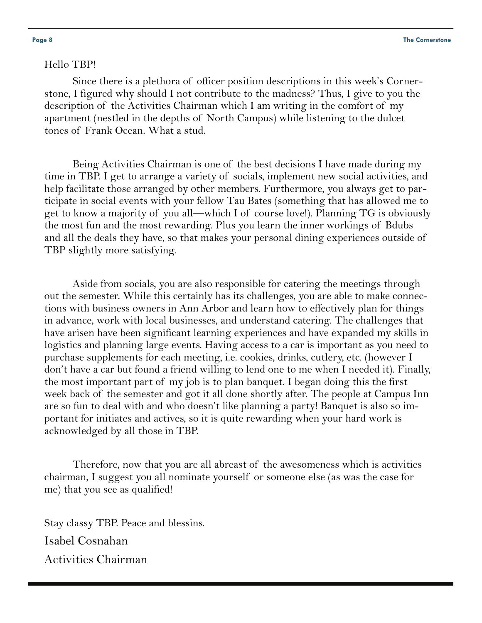#### Hello TBP!

 Since there is a plethora of officer position descriptions in this week's Cornerstone, I figured why should I not contribute to the madness? Thus, I give to you the description of the Activities Chairman which I am writing in the comfort of my apartment (nestled in the depths of North Campus) while listening to the dulcet tones of Frank Ocean. What a stud.

 Being Activities Chairman is one of the best decisions I have made during my time in TBP. I get to arrange a variety of socials, implement new social activities, and help facilitate those arranged by other members. Furthermore, you always get to participate in social events with your fellow Tau Bates (something that has allowed me to get to know a majority of you all—which I of course love!). Planning TG is obviously the most fun and the most rewarding. Plus you learn the inner workings of Bdubs and all the deals they have, so that makes your personal dining experiences outside of TBP slightly more satisfying.

 Aside from socials, you are also responsible for catering the meetings through out the semester. While this certainly has its challenges, you are able to make connections with business owners in Ann Arbor and learn how to effectively plan for things in advance, work with local businesses, and understand catering. The challenges that have arisen have been significant learning experiences and have expanded my skills in logistics and planning large events. Having access to a car is important as you need to purchase supplements for each meeting, i.e. cookies, drinks, cutlery, etc. (however I don't have a car but found a friend willing to lend one to me when I needed it). Finally, the most important part of my job is to plan banquet. I began doing this the first week back of the semester and got it all done shortly after. The people at Campus Inn are so fun to deal with and who doesn't like planning a party! Banquet is also so important for initiates and actives, so it is quite rewarding when your hard work is acknowledged by all those in TBP.

 Therefore, now that you are all abreast of the awesomeness which is activities chairman, I suggest you all nominate yourself or someone else (as was the case for me) that you see as qualified!

Stay classy TBP. Peace and blessins. Isabel Cosnahan Activities Chairman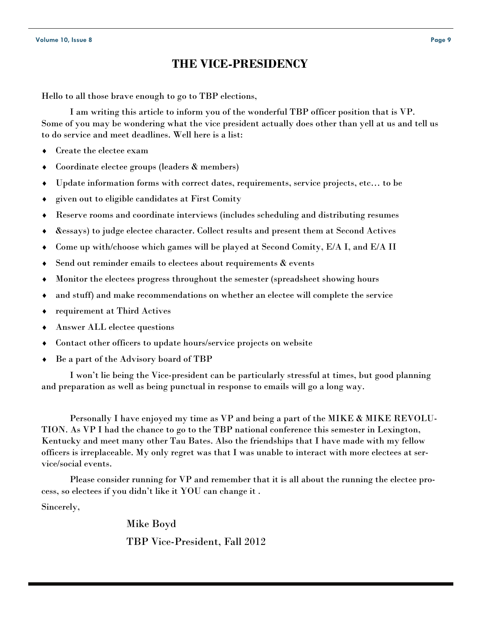### **THE VICE-PRESIDENCY**

Hello to all those brave enough to go to TBP elections,

 I am writing this article to inform you of the wonderful TBP officer position that is VP. Some of you may be wondering what the vice president actually does other than yell at us and tell us to do service and meet deadlines. Well here is a list:

- Create the electee exam
- Coordinate electee groups (leaders & members)
- Update information forms with correct dates, requirements, service projects, etc… to be
- given out to eligible candidates at First Comity
- Reserve rooms and coordinate interviews (includes scheduling and distributing resumes
- &essays) to judge electee character. Collect results and present them at Second Actives
- Come up with/choose which games will be played at Second Comity, E/A I, and E/A II
- Send out reminder emails to electees about requirements  $\&$  events
- Monitor the electees progress throughout the semester (spreadsheet showing hours
- and stuff) and make recommendations on whether an electee will complete the service
- requirement at Third Actives
- Answer ALL electee questions
- Contact other officers to update hours/service projects on website
- Be a part of the Advisory board of TBP

 I won't lie being the Vice-president can be particularly stressful at times, but good planning and preparation as well as being punctual in response to emails will go a long way.

 Personally I have enjoyed my time as VP and being a part of the MIKE & MIKE REVOLU-TION. As VP I had the chance to go to the TBP national conference this semester in Lexington, Kentucky and meet many other Tau Bates. Also the friendships that I have made with my fellow officers is irreplaceable. My only regret was that I was unable to interact with more electees at service/social events.

 Please consider running for VP and remember that it is all about the running the electee process, so electees if you didn't like it YOU can change it .

Sincerely,

 Mike Boyd TBP Vice-President, Fall 2012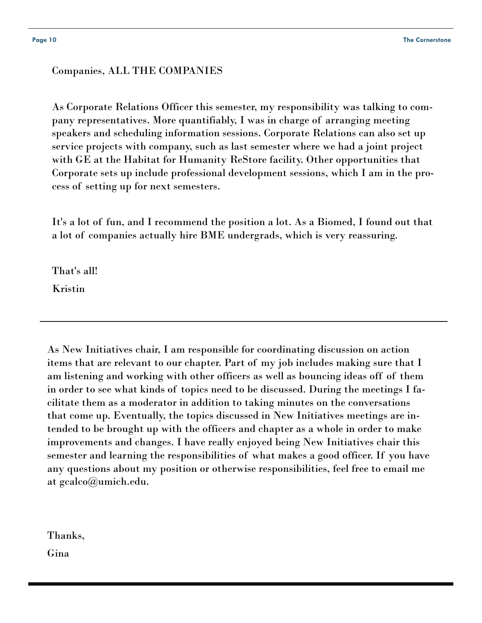#### Companies, ALL THE COMPANIES

As Corporate Relations Officer this semester, my responsibility was talking to company representatives. More quantifiably, I was in charge of arranging meeting speakers and scheduling information sessions. Corporate Relations can also set up service projects with company, such as last semester where we had a joint project with GE at the Habitat for Humanity ReStore facility. Other opportunities that Corporate sets up include professional development sessions, which I am in the process of setting up for next semesters.

It's a lot of fun, and I recommend the position a lot. As a Biomed, I found out that a lot of companies actually hire BME undergrads, which is very reassuring.

That's all! Kristin

As New Initiatives chair, I am responsible for coordinating discussion on action items that are relevant to our chapter. Part of my job includes making sure that I am listening and working with other officers as well as bouncing ideas off of them in order to see what kinds of topics need to be discussed. During the meetings I facilitate them as a moderator in addition to taking minutes on the conversations that come up. Eventually, the topics discussed in New Initiatives meetings are intended to be brought up with the officers and chapter as a whole in order to make improvements and changes. I have really enjoyed being New Initiatives chair this semester and learning the responsibilities of what makes a good officer. If you have any questions about my position or otherwise responsibilities, feel free to email me at gcalco@umich.edu.

Thanks,

Gina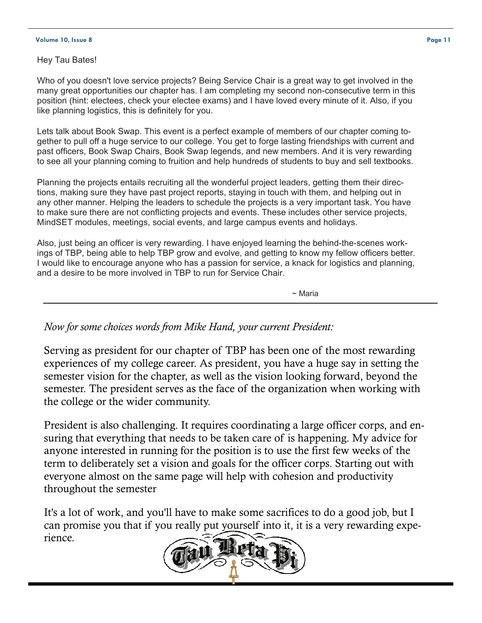#### **Volume 10, Issue 8 Page 11**

Hey Tau Bates!

Who of you doesn't love service projects? Being Service Chair is a great way to get involved in the many great opportunities our chapter has. I am completing my second non-consecutive term in this position (hint: electees, check your electee exams) and I have loved every minute of it. Also, if you like planning logistics, this is definitely for you.

Lets talk about Book Swap. This event is a perfect example of members of our chapter coming together to pull off a huge service to our college. You get to forge lasting friendships with current and past officers, Book Swap Chairs, Book Swap legends, and new members. And it is very rewarding to see all your planning coming to fruition and help hundreds of students to buy and sell textbooks.

Planning the projects entails recruiting all the wonderful project leaders, getting them their directions, making sure they have past project reports, staying in touch with them, and helping out in any other manner. Helping the leaders to schedule the projects is a very important task. You have to make sure there are not conflicting projects and events. These includes other service projects, MindSET modules, meetings, social events, and large campus events and holidays.

Also, just being an officer is very rewarding. I have enjoyed learning the behind-the-scenes workings of TBP, being able to help TBP grow and evolve, and getting to know my fellow officers better. I would like to encourage anyone who has a passion for service, a knack for logistics and planning, and a desire to be more involved in TBP to run for Service Chair.

 $\sim$  Maria  $\sim$  Maria

*Now for some choices words from Mike Hand, your current President:* 

Serving as president for our chapter of TBP has been one of the most rewarding experiences of my college career. As president, you have a huge say in setting the semester vision for the chapter, as well as the vision looking forward, beyond the semester. The president serves as the face of the organization when working with the college or the wider community.

President is also challenging. It requires coordinating a large officer corps, and ensuring that everything that needs to be taken care of is happening. My advice for anyone interested in running for the position is to use the first few weeks of the term to deliberately set a vision and goals for the officer corps. Starting out with everyone almost on the same page will help with cohesion and productivity throughout the semester

It's a lot of work, and you'll have to make some sacrifices to do a good job, but I can promise you that if you really put yourself into it, it is a very rewarding experience.